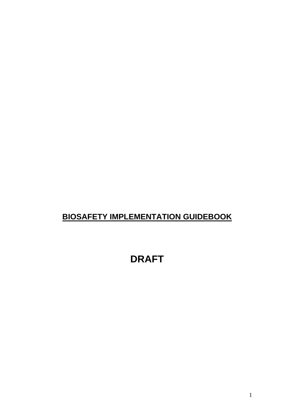# **BIOSAFETY IMPLEMENTATION GUIDEBOOK**

# **DRAFT**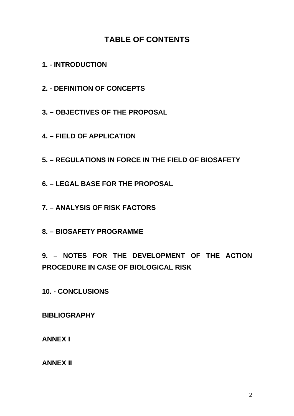## **TABLE OF CONTENTS**

**1. - INTRODUCTION** 

**2. - DEFINITION OF CONCEPTS** 

**3. – OBJECTIVES OF THE PROPOSAL** 

**4. – FIELD OF APPLICATION** 

**5. – REGULATIONS IN FORCE IN THE FIELD OF BIOSAFETY** 

**6. – LEGAL BASE FOR THE PROPOSAL** 

**7. – ANALYSIS OF RISK FACTORS** 

**8. – BIOSAFETY PROGRAMME** 

**9. – NOTES FOR THE DEVELOPMENT OF THE ACTION PROCEDURE IN CASE OF BIOLOGICAL RISK** 

**10. - CONCLUSIONS** 

**BIBLIOGRAPHY** 

**ANNEX I** 

**ANNEX II**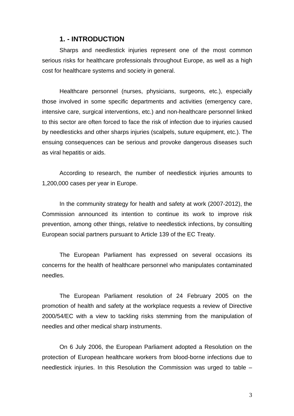### **1. - INTRODUCTION**

Sharps and needlestick injuries represent one of the most common serious risks for healthcare professionals throughout Europe, as well as a high cost for healthcare systems and society in general.

Healthcare personnel (nurses, physicians, surgeons, etc.), especially those involved in some specific departments and activities (emergency care, intensive care, surgical interventions, etc.) and non-healthcare personnel linked to this sector are often forced to face the risk of infection due to injuries caused by needlesticks and other sharps injuries (scalpels, suture equipment, etc.). The ensuing consequences can be serious and provoke dangerous diseases such as viral hepatitis or aids.

According to research, the number of needlestick injuries amounts to 1,200,000 cases per year in Europe.

In the community strategy for health and safety at work (2007-2012), the Commission announced its intention to continue its work to improve risk prevention, among other things, relative to needlestick infections, by consulting European social partners pursuant to Article 139 of the EC Treaty.

The European Parliament has expressed on several occasions its concerns for the health of healthcare personnel who manipulates contaminated needles.

The European Parliament resolution of 24 February 2005 on the promotion of health and safety at the workplace requests a review of Directive 2000/54/EC with a view to tackling risks stemming from the manipulation of needles and other medical sharp instruments.

On 6 July 2006, the European Parliament adopted a Resolution on the protection of European healthcare workers from blood-borne infections due to needlestick injuries. In this Resolution the Commission was urged to table –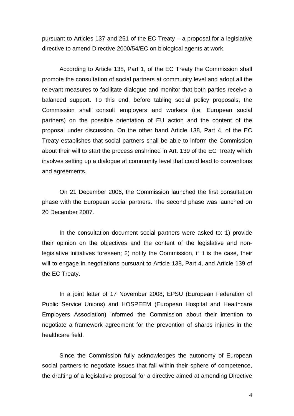pursuant to Articles 137 and 251 of the EC Treaty – a proposal for a legislative directive to amend Directive 2000/54/EC on biological agents at work.

According to Article 138, Part 1, of the EC Treaty the Commission shall promote the consultation of social partners at community level and adopt all the relevant measures to facilitate dialogue and monitor that both parties receive a balanced support. To this end, before tabling social policy proposals, the Commission shall consult employers and workers (i.e. European social partners) on the possible orientation of EU action and the content of the proposal under discussion. On the other hand Article 138, Part 4, of the EC Treaty establishes that social partners shall be able to inform the Commission about their will to start the process enshrined in Art. 139 of the EC Treaty which involves setting up a dialogue at community level that could lead to conventions and agreements.

On 21 December 2006, the Commission launched the first consultation phase with the European social partners. The second phase was launched on 20 December 2007.

In the consultation document social partners were asked to: 1) provide their opinion on the objectives and the content of the legislative and nonlegislative initiatives foreseen; 2) notify the Commission, if it is the case, their will to engage in negotiations pursuant to Article 138, Part 4, and Article 139 of the EC Treaty.

In a joint letter of 17 November 2008, EPSU (European Federation of Public Service Unions) and HOSPEEM (European Hospital and Healthcare Employers Association) informed the Commission about their intention to negotiate a framework agreement for the prevention of sharps injuries in the healthcare field.

Since the Commission fully acknowledges the autonomy of European social partners to negotiate issues that fall within their sphere of competence, the drafting of a legislative proposal for a directive aimed at amending Directive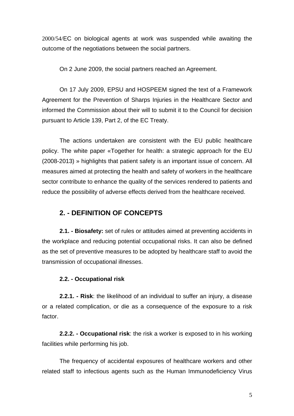2000/54/EC on biological agents at work was suspended while awaiting the outcome of the negotiations between the social partners.

On 2 June 2009, the social partners reached an Agreement.

On 17 July 2009, EPSU and HOSPEEM signed the text of a Framework Agreement for the Prevention of Sharps Injuries in the Healthcare Sector and informed the Commission about their will to submit it to the Council for decision pursuant to Article 139, Part 2, of the EC Treaty.

The actions undertaken are consistent with the EU public healthcare policy. The white paper «Together for health: a strategic approach for the EU (2008-2013) » highlights that patient safety is an important issue of concern. All measures aimed at protecting the health and safety of workers in the healthcare sector contribute to enhance the quality of the services rendered to patients and reduce the possibility of adverse effects derived from the healthcare received.

### **2. - DEFINITION OF CONCEPTS**

**2.1. - Biosafety:** set of rules or attitudes aimed at preventing accidents in the workplace and reducing potential occupational risks. It can also be defined as the set of preventive measures to be adopted by healthcare staff to avoid the transmission of occupational illnesses.

#### **2.2. - Occupational risk**

**2.2.1. - Risk**: the likelihood of an individual to suffer an injury, a disease or a related complication, or die as a consequence of the exposure to a risk factor.

**2.2.2. - Occupational risk**: the risk a worker is exposed to in his working facilities while performing his job.

The frequency of accidental exposures of healthcare workers and other related staff to infectious agents such as the Human Immunodeficiency Virus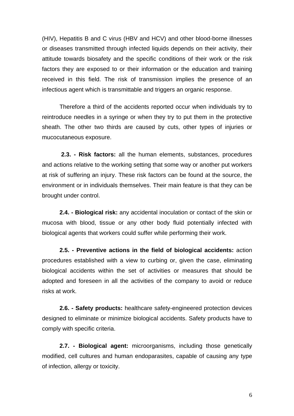(HIV), Hepatitis B and C virus (HBV and HCV) and other blood-borne illnesses or diseases transmitted through infected liquids depends on their activity, their attitude towards biosafety and the specific conditions of their work or the risk factors they are exposed to or their information or the education and training received in this field. The risk of transmission implies the presence of an infectious agent which is transmittable and triggers an organic response.

Therefore a third of the accidents reported occur when individuals try to reintroduce needles in a syringe or when they try to put them in the protective sheath. The other two thirds are caused by cuts, other types of injuries or mucocutaneous exposure.

**2.3. - Risk factors:** all the human elements, substances, procedures and actions relative to the working setting that some way or another put workers at risk of suffering an injury. These risk factors can be found at the source, the environment or in individuals themselves. Their main feature is that they can be brought under control.

**2.4. - Biological risk:** any accidental inoculation or contact of the skin or mucosa with blood, tissue or any other body fluid potentially infected with biological agents that workers could suffer while performing their work.

**2.5. - Preventive actions in the field of biological accidents:** action procedures established with a view to curbing or, given the case, eliminating biological accidents within the set of activities or measures that should be adopted and foreseen in all the activities of the company to avoid or reduce risks at work.

**2.6. - Safety products:** healthcare safety-engineered protection devices designed to eliminate or minimize biological accidents. Safety products have to comply with specific criteria.

**2.7. - Biological agent:** microorganisms, including those genetically modified, cell cultures and human endoparasites, capable of causing any type of infection, allergy or toxicity.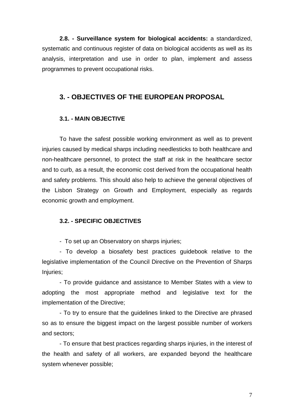**2.8. - Surveillance system for biological accidents:** a standardized, systematic and continuous register of data on biological accidents as well as its analysis, interpretation and use in order to plan, implement and assess programmes to prevent occupational risks.

### **3. - OBJECTIVES OF THE EUROPEAN PROPOSAL**

### **3.1. - MAIN OBJECTIVE**

To have the safest possible working environment as well as to prevent injuries caused by medical sharps including needlesticks to both healthcare and non-healthcare personnel, to protect the staff at risk in the healthcare sector and to curb, as a result, the economic cost derived from the occupational health and safety problems. This should also help to achieve the general objectives of the Lisbon Strategy on Growth and Employment, especially as regards economic growth and employment.

### **3.2. - SPECIFIC OBJECTIVES**

- To set up an Observatory on sharps injuries;

- To develop a biosafety best practices guidebook relative to the legislative implementation of the Council Directive on the Prevention of Sharps Injuries;

- To provide guidance and assistance to Member States with a view to adopting the most appropriate method and legislative text for the implementation of the Directive;

- To try to ensure that the guidelines linked to the Directive are phrased so as to ensure the biggest impact on the largest possible number of workers and sectors;

- To ensure that best practices regarding sharps injuries, in the interest of the health and safety of all workers, are expanded beyond the healthcare system whenever possible;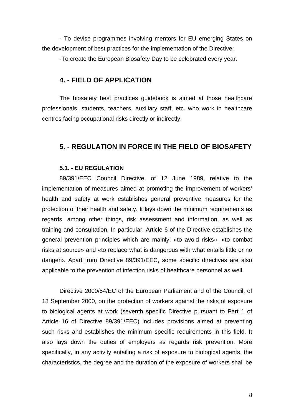- To devise programmes involving mentors for EU emerging States on the development of best practices for the implementation of the Directive;

-To create the European Biosafety Day to be celebrated every year.

### **4. - FIELD OF APPLICATION**

The biosafety best practices guidebook is aimed at those healthcare professionals, students, teachers, auxiliary staff, etc. who work in healthcare centres facing occupational risks directly or indirectly.

### **5. - REGULATION IN FORCE IN THE FIELD OF BIOSAFETY**

### **5.1. - EU REGULATION**

89/391/EEC Council Directive, of 12 June 1989, relative to the implementation of measures aimed at promoting the improvement of workers' health and safety at work establishes general preventive measures for the protection of their health and safety. It lays down the minimum requirements as regards, among other things, risk assessment and information, as well as training and consultation. In particular, Article 6 of the Directive establishes the general prevention principles which are mainly: «to avoid risks», «to combat risks at source» and «to replace what is dangerous with what entails little or no danger». Apart from Directive 89/391/EEC, some specific directives are also applicable to the prevention of infection risks of healthcare personnel as well.

Directive 2000/54/EC of the European Parliament and of the Council, of 18 September 2000, on the protection of workers against the risks of exposure to biological agents at work (seventh specific Directive pursuant to Part 1 of Article 16 of Directive 89/391/EEC) includes provisions aimed at preventing such risks and establishes the minimum specific requirements in this field. It also lays down the duties of employers as regards risk prevention. More specifically, in any activity entailing a risk of exposure to biological agents, the characteristics, the degree and the duration of the exposure of workers shall be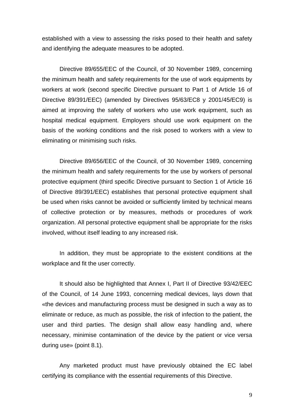established with a view to assessing the risks posed to their health and safety and identifying the adequate measures to be adopted.

Directive 89/655/EEC of the Council, of 30 November 1989, concerning the minimum health and safety requirements for the use of work equipments by workers at work (second specific Directive pursuant to Part 1 of Article 16 of Directive 89/391/EEC) (amended by Directives 95/63/EC8 y 2001/45/EC9) is aimed at improving the safety of workers who use work equipment, such as hospital medical equipment. Employers should use work equipment on the basis of the working conditions and the risk posed to workers with a view to eliminating or minimising such risks.

Directive 89/656/EEC of the Council, of 30 November 1989, concerning the minimum health and safety requirements for the use by workers of personal protective equipment (third specific Directive pursuant to Section 1 of Article 16 of Directive 89/391/EEC) establishes that personal protective equipment shall be used when risks cannot be avoided or sufficiently limited by technical means of collective protection or by measures, methods or procedures of work organization. All personal protective equipment shall be appropriate for the risks involved, without itself leading to any increased risk.

In addition, they must be appropriate to the existent conditions at the workplace and fit the user correctly.

It should also be highlighted that Annex I, Part II of Directive 93/42/EEC of the Council, of 14 June 1993, concerning medical devices, lays down that «the devices and manufacturing process must be designed in such a way as to eliminate or reduce, as much as possible, the risk of infection to the patient, the user and third parties. The design shall allow easy handling and, where necessary, minimise contamination of the device by the patient or vice versa during use» (point 8.1).

Any marketed product must have previously obtained the EC label certifying its compliance with the essential requirements of this Directive.

9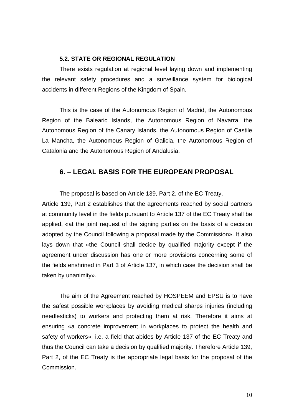#### **5.2. STATE OR REGIONAL REGULATION**

 There exists regulation at regional level laying down and implementing the relevant safety procedures and a surveillance system for biological accidents in different Regions of the Kingdom of Spain.

 This is the case of the Autonomous Region of Madrid, the Autonomous Region of the Balearic Islands, the Autonomous Region of Navarra, the Autonomous Region of the Canary Islands, the Autonomous Region of Castile La Mancha, the Autonomous Region of Galicia, the Autonomous Region of Catalonia and the Autonomous Region of Andalusia.

### **6. – LEGAL BASIS FOR THE EUROPEAN PROPOSAL**

The proposal is based on Article 139, Part 2, of the EC Treaty. Article 139, Part 2 establishes that the agreements reached by social partners at community level in the fields pursuant to Article 137 of the EC Treaty shall be applied, «at the joint request of the signing parties on the basis of a decision adopted by the Council following a proposal made by the Commission». It also lays down that «the Council shall decide by qualified majority except if the agreement under discussion has one or more provisions concerning some of the fields enshrined in Part 3 of Article 137, in which case the decision shall be taken by unanimity».

The aim of the Agreement reached by HOSPEEM and EPSU is to have the safest possible workplaces by avoiding medical sharps injuries (including needlesticks) to workers and protecting them at risk. Therefore it aims at ensuring «a concrete improvement in workplaces to protect the health and safety of workers», i.e. a field that abides by Article 137 of the EC Treaty and thus the Council can take a decision by qualified majority. Therefore Article 139, Part 2, of the EC Treaty is the appropriate legal basis for the proposal of the Commission.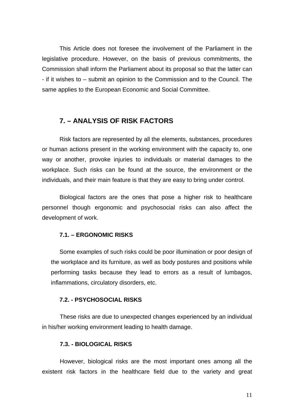This Article does not foresee the involvement of the Parliament in the legislative procedure. However, on the basis of previous commitments, the Commission shall inform the Parliament about its proposal so that the latter can - if it wishes to – submit an opinion to the Commission and to the Council. The same applies to the European Economic and Social Committee.

### **7. – ANALYSIS OF RISK FACTORS**

Risk factors are represented by all the elements, substances, procedures or human actions present in the working environment with the capacity to, one way or another, provoke injuries to individuals or material damages to the workplace. Such risks can be found at the source, the environment or the individuals, and their main feature is that they are easy to bring under control.

Biological factors are the ones that pose a higher risk to healthcare personnel though ergonomic and psychosocial risks can also affect the development of work.

#### **7.1. – ERGONOMIC RISKS**

Some examples of such risks could be poor illumination or poor design of the workplace and its furniture, as well as body postures and positions while performing tasks because they lead to errors as a result of lumbagos, inflammations, circulatory disorders, etc.

#### **7.2. - PSYCHOSOCIAL RISKS**

These risks are due to unexpected changes experienced by an individual in his/her working environment leading to health damage.

#### **7.3. - BIOLOGICAL RISKS**

However, biological risks are the most important ones among all the existent risk factors in the healthcare field due to the variety and great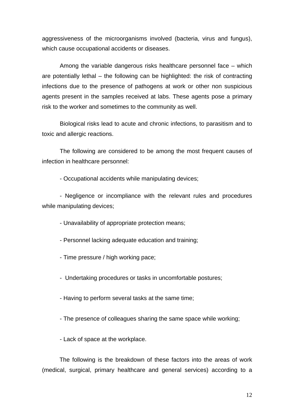aggressiveness of the microorganisms involved (bacteria, virus and fungus), which cause occupational accidents or diseases.

Among the variable dangerous risks healthcare personnel face – which are potentially lethal – the following can be highlighted: the risk of contracting infections due to the presence of pathogens at work or other non suspicious agents present in the samples received at labs. These agents pose a primary risk to the worker and sometimes to the community as well.

Biological risks lead to acute and chronic infections, to parasitism and to toxic and allergic reactions.

The following are considered to be among the most frequent causes of infection in healthcare personnel:

- Occupational accidents while manipulating devices;

- Negligence or incompliance with the relevant rules and procedures while manipulating devices;

- Unavailability of appropriate protection means;

- Personnel lacking adequate education and training;

- Time pressure / high working pace;

- Undertaking procedures or tasks in uncomfortable postures;

- Having to perform several tasks at the same time;

- The presence of colleagues sharing the same space while working;

- Lack of space at the workplace.

The following is the breakdown of these factors into the areas of work (medical, surgical, primary healthcare and general services) according to a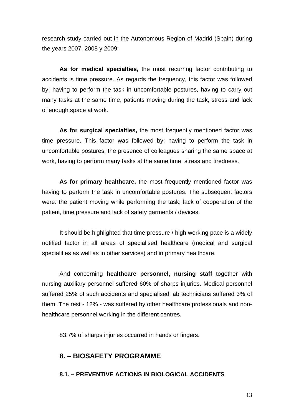research study carried out in the Autonomous Region of Madrid (Spain) during the years 2007, 2008 y 2009:

**As for medical specialties,** the most recurring factor contributing to accidents is time pressure. As regards the frequency, this factor was followed by: having to perform the task in uncomfortable postures, having to carry out many tasks at the same time, patients moving during the task, stress and lack of enough space at work.

**As for surgical specialties,** the most frequently mentioned factor was time pressure. This factor was followed by: having to perform the task in uncomfortable postures, the presence of colleagues sharing the same space at work, having to perform many tasks at the same time, stress and tiredness.

**As for primary healthcare,** the most frequently mentioned factor was having to perform the task in uncomfortable postures. The subsequent factors were: the patient moving while performing the task, lack of cooperation of the patient, time pressure and lack of safety garments / devices.

It should be highlighted that time pressure / high working pace is a widely notified factor in all areas of specialised healthcare (medical and surgical specialities as well as in other services) and in primary healthcare.

And concerning **healthcare personnel, nursing staff** together with nursing auxiliary personnel suffered 60% of sharps injuries. Medical personnel suffered 25% of such accidents and specialised lab technicians suffered 3% of them. The rest - 12% - was suffered by other healthcare professionals and nonhealthcare personnel working in the different centres.

83.7% of sharps injuries occurred in hands or fingers.

### **8. – BIOSAFETY PROGRAMME**

### **8.1. – PREVENTIVE ACTIONS IN BIOLOGICAL ACCIDENTS**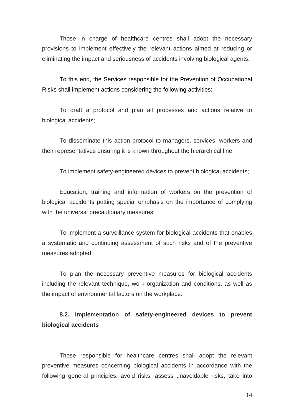Those in charge of healthcare centres shall adopt the necessary provisions to implement effectively the relevant actions aimed at reducing or eliminating the impact and seriousness of accidents involving biological agents.

To this end, the Services responsible for the Prevention of Occupational Risks shall implement actions considering the following activities:

To draft a protocol and plan all processes and actions relative to biological accidents;

To disseminate this action protocol to managers, services, workers and their representatives ensuring it is known throughout the hierarchical line;

To implement safety-engineered devices to prevent biological accidents;

Education, training and information of workers on the prevention of biological accidents putting special emphasis on the importance of complying with the universal precautionary measures;

To implement a surveillance system for biological accidents that enables a systematic and continuing assessment of such risks and of the preventive measures adopted;

To plan the necessary preventive measures for biological accidents including the relevant technique, work organization and conditions, as well as the impact of environmental factors on the workplace.

**8.2. Implementation of safety-engineered devices to prevent biological accidents** 

Those responsible for healthcare centres shall adopt the relevant preventive measures concerning biological accidents in accordance with the following general principles: avoid risks, assess unavoidable risks, take into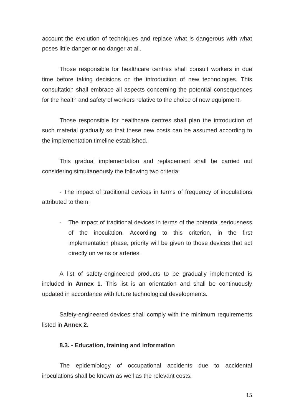account the evolution of techniques and replace what is dangerous with what poses little danger or no danger at all.

Those responsible for healthcare centres shall consult workers in due time before taking decisions on the introduction of new technologies. This consultation shall embrace all aspects concerning the potential consequences for the health and safety of workers relative to the choice of new equipment.

Those responsible for healthcare centres shall plan the introduction of such material gradually so that these new costs can be assumed according to the implementation timeline established.

This gradual implementation and replacement shall be carried out considering simultaneously the following two criteria:

- The impact of traditional devices in terms of frequency of inoculations attributed to them;

- The impact of traditional devices in terms of the potential seriousness of the inoculation. According to this criterion, in the first implementation phase, priority will be given to those devices that act directly on veins or arteries.

A list of safety-engineered products to be gradually implemented is included in **Annex 1**. This list is an orientation and shall be continuously updated in accordance with future technological developments.

Safety-engineered devices shall comply with the minimum requirements listed in **Annex 2.**

#### **8.3. - Education, training and information**

The epidemiology of occupational accidents due to accidental inoculations shall be known as well as the relevant costs.

15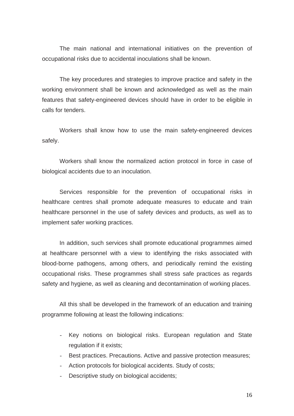The main national and international initiatives on the prevention of occupational risks due to accidental inoculations shall be known.

The key procedures and strategies to improve practice and safety in the working environment shall be known and acknowledged as well as the main features that safety-engineered devices should have in order to be eligible in calls for tenders.

Workers shall know how to use the main safety-engineered devices safely.

Workers shall know the normalized action protocol in force in case of biological accidents due to an inoculation.

Services responsible for the prevention of occupational risks in healthcare centres shall promote adequate measures to educate and train healthcare personnel in the use of safety devices and products, as well as to implement safer working practices.

In addition, such services shall promote educational programmes aimed at healthcare personnel with a view to identifying the risks associated with blood-borne pathogens, among others, and periodically remind the existing occupational risks. These programmes shall stress safe practices as regards safety and hygiene, as well as cleaning and decontamination of working places.

All this shall be developed in the framework of an education and training programme following at least the following indications:

- Key notions on biological risks. European regulation and State regulation if it exists;
- Best practices. Precautions. Active and passive protection measures;
- Action protocols for biological accidents. Study of costs;
- Descriptive study on biological accidents;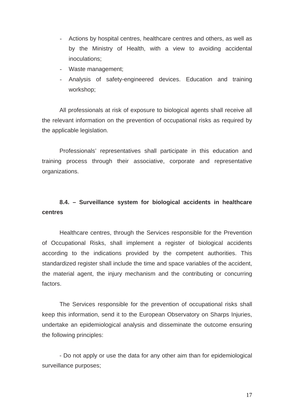- Actions by hospital centres, healthcare centres and others, as well as by the Ministry of Health, with a view to avoiding accidental inoculations;
- Waste management;
- Analysis of safety-engineered devices. Education and training workshop;

All professionals at risk of exposure to biological agents shall receive all the relevant information on the prevention of occupational risks as required by the applicable legislation.

Professionals' representatives shall participate in this education and training process through their associative, corporate and representative organizations.

### **8.4. – Surveillance system for biological accidents in healthcare centres**

Healthcare centres, through the Services responsible for the Prevention of Occupational Risks, shall implement a register of biological accidents according to the indications provided by the competent authorities. This standardized register shall include the time and space variables of the accident, the material agent, the injury mechanism and the contributing or concurring factors.

The Services responsible for the prevention of occupational risks shall keep this information, send it to the European Observatory on Sharps Injuries, undertake an epidemiological analysis and disseminate the outcome ensuring the following principles:

- Do not apply or use the data for any other aim than for epidemiological surveillance purposes;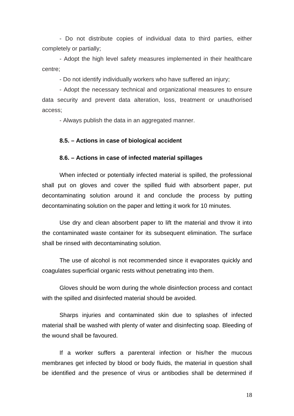- Do not distribute copies of individual data to third parties, either completely or partially;

- Adopt the high level safety measures implemented in their healthcare centre;

- Do not identify individually workers who have suffered an injury;

- Adopt the necessary technical and organizational measures to ensure data security and prevent data alteration, loss, treatment or unauthorised access;

- Always publish the data in an aggregated manner.

#### **8.5. – Actions in case of biological accident**

#### **8.6. – Actions in case of infected material spillages**

 When infected or potentially infected material is spilled, the professional shall put on gloves and cover the spilled fluid with absorbent paper, put decontaminating solution around it and conclude the process by putting decontaminating solution on the paper and letting it work for 10 minutes.

 Use dry and clean absorbent paper to lift the material and throw it into the contaminated waste container for its subsequent elimination. The surface shall be rinsed with decontaminating solution.

 The use of alcohol is not recommended since it evaporates quickly and coagulates superficial organic rests without penetrating into them.

 Gloves should be worn during the whole disinfection process and contact with the spilled and disinfected material should be avoided.

Sharps injuries and contaminated skin due to splashes of infected material shall be washed with plenty of water and disinfecting soap. Bleeding of the wound shall be favoured.

 If a worker suffers a parenteral infection or his/her the mucous membranes get infected by blood or body fluids, the material in question shall be identified and the presence of virus or antibodies shall be determined if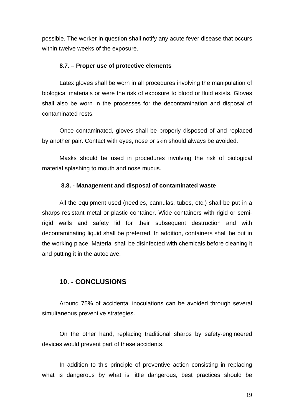possible. The worker in question shall notify any acute fever disease that occurs within twelve weeks of the exposure.

#### **8.7. – Proper use of protective elements**

 Latex gloves shall be worn in all procedures involving the manipulation of biological materials or were the risk of exposure to blood or fluid exists. Gloves shall also be worn in the processes for the decontamination and disposal of contaminated rests.

 Once contaminated, gloves shall be properly disposed of and replaced by another pair. Contact with eyes, nose or skin should always be avoided.

Masks should be used in procedures involving the risk of biological material splashing to mouth and nose mucus.

#### **8.8. - Management and disposal of contaminated waste**

All the equipment used (needles, cannulas, tubes, etc.) shall be put in a sharps resistant metal or plastic container. Wide containers with rigid or semirigid walls and safety lid for their subsequent destruction and with decontaminating liquid shall be preferred. In addition, containers shall be put in the working place. Material shall be disinfected with chemicals before cleaning it and putting it in the autoclave.

### **10. - CONCLUSIONS**

Around 75% of accidental inoculations can be avoided through several simultaneous preventive strategies.

On the other hand, replacing traditional sharps by safety-engineered devices would prevent part of these accidents.

In addition to this principle of preventive action consisting in replacing what is dangerous by what is little dangerous, best practices should be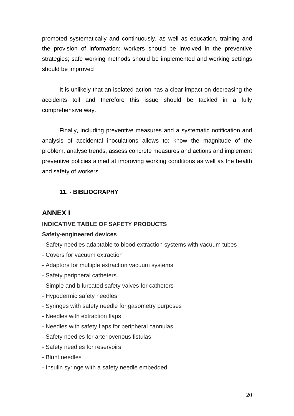promoted systematically and continuously, as well as education, training and the provision of information; workers should be involved in the preventive strategies; safe working methods should be implemented and working settings should be improved

It is unlikely that an isolated action has a clear impact on decreasing the accidents toll and therefore this issue should be tackled in a fully comprehensive way.

Finally, including preventive measures and a systematic notification and analysis of accidental inoculations allows to: know the magnitude of the problem, analyse trends, assess concrete measures and actions and implement preventive policies aimed at improving working conditions as well as the health and safety of workers.

### **11. - BIBLIOGRAPHY**

### **ANNEX I**

### **INDICATIVE TABLE OF SAFETY PRODUCTS**

#### **Safety-engineered devices**

- Safety needles adaptable to blood extraction systems with vacuum tubes
- Covers for vacuum extraction
- Adaptors for multiple extraction vacuum systems
- Safety peripheral catheters.
- Simple and bifurcated safety valves for catheters
- Hypodermic safety needles
- Syringes with safety needle for gasometry purposes
- Needles with extraction flaps
- Needles with safety flaps for peripheral cannulas
- Safety needles for arteriovenous fistulas
- Safety needles for reservoirs
- Blunt needles
- Insulin syringe with a safety needle embedded